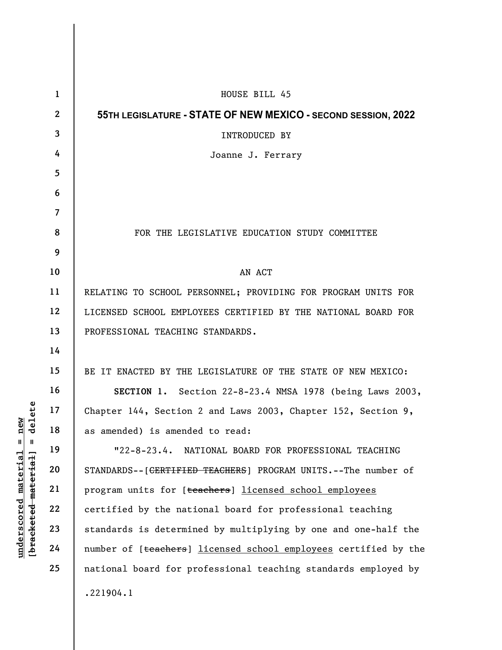|                      | $\mathbf{1}$   | HOUSE BILL 45                                                              |
|----------------------|----------------|----------------------------------------------------------------------------|
| delete<br>new        | $\mathbf{2}$   | 55TH LEGISLATURE - STATE OF NEW MEXICO - SECOND SESSION, 2022              |
|                      | $\mathbf{3}$   | INTRODUCED BY                                                              |
|                      | 4              | Joanne J. Ferrary                                                          |
|                      | 5              |                                                                            |
|                      | 6              |                                                                            |
|                      | $\overline{7}$ |                                                                            |
|                      | 8              | FOR THE LEGISLATIVE EDUCATION STUDY COMMITTEE                              |
|                      | 9              |                                                                            |
|                      | 10             | AN ACT                                                                     |
|                      | 11             | RELATING TO SCHOOL PERSONNEL; PROVIDING FOR PROGRAM UNITS FOR              |
|                      | 12             | LICENSED SCHOOL EMPLOYEES CERTIFIED BY THE NATIONAL BOARD FOR              |
|                      | 13             | PROFESSIONAL TEACHING STANDARDS.                                           |
|                      | 14             |                                                                            |
|                      | 15             | BE IT ENACTED BY THE LEGISLATURE OF THE STATE OF NEW MEXICO:               |
|                      | 16             | SECTION 1. Section 22-8-23.4 NMSA 1978 (being Laws 2003,                   |
|                      | 17             | Chapter 144, Section 2 and Laws 2003, Chapter 152, Section 9,              |
|                      | 18             | as amended) is amended to read:                                            |
| $\blacksquare$<br>H  | 19             | NATIONAL BOARD FOR PROFESSIONAL TEACHING<br>$"22-8-23.4.$                  |
| <u>material</u>      | 20             | STANDARDS--[ <del>CERTIFIED TEACHERS</del> ] PROGRAM UNITS.--The number of |
|                      | 21             | program units for [teachers] licensed school employees                     |
| [bracketed-material] | 22             | certified by the national board for professional teaching                  |
|                      | 23             | standards is determined by multiplying by one and one-half the             |
| underscored          | 24             | number of [teachers] licensed school employees certified by the            |
|                      | 25             | national board for professional teaching standards employed by             |
|                      |                | .221904.1                                                                  |
|                      |                |                                                                            |